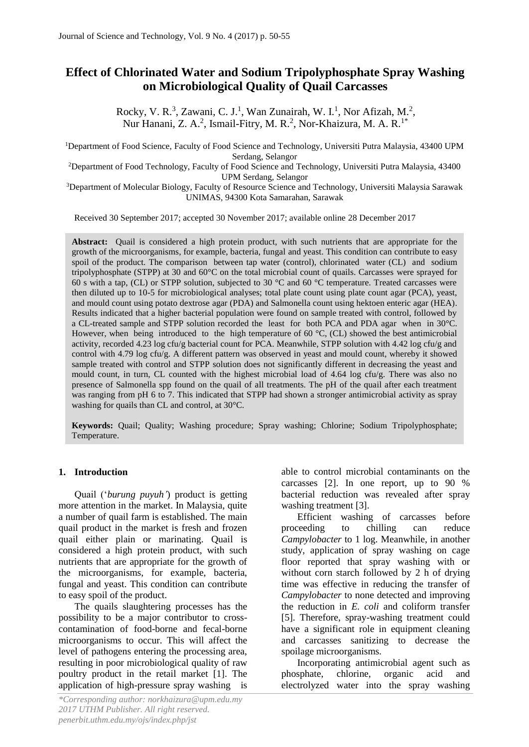# **Effect of Chlorinated Water and Sodium Tripolyphosphate Spray Washing on Microbiological Quality of Quail Carcasses**

Rocky, V. R.<sup>3</sup>, Zawani, C. J.<sup>1</sup>, Wan Zunairah, W. I.<sup>1</sup>, Nor Afizah, M.<sup>2</sup>, Nur Hanani, Z. A.<sup>2</sup>, Ismail-Fitry, M. R.<sup>2</sup>, Nor-Khaizura, M. A. R.<sup>1\*</sup>

<sup>1</sup>Department of Food Science, Faculty of Food Science and Technology, Universiti Putra Malaysia, 43400 UPM Serdang, Selangor

<sup>2</sup>Department of Food Technology, Faculty of Food Science and Technology, Universiti Putra Malaysia, 43400 UPM Serdang, Selangor

<sup>3</sup>Department of Molecular Biology, Faculty of Resource Science and Technology, Universiti Malaysia Sarawak UNIMAS, 94300 Kota Samarahan, Sarawak

Received 30 September 2017; accepted 30 November 2017; available online 28 December 2017

**Abstract:** Quail is considered a high protein product, with such nutrients that are appropriate for the growth of the microorganisms, for example, bacteria, fungal and yeast. This condition can contribute to easy spoil of the product. The comparison between tap water (control), chlorinated water (CL) and sodium tripolyphosphate (STPP) at 30 and 60°C on the total microbial count of quails. Carcasses were sprayed for 60 s with a tap, (CL) or STPP solution, subjected to 30 °C and 60 °C temperature. Treated carcasses were then diluted up to 10-5 for microbiological analyses; total plate count using plate count agar (PCA), yeast, and mould count using potato dextrose agar (PDA) and Salmonella count using hektoen enteric agar (HEA). Results indicated that a higher bacterial population were found on sample treated with control, followed by a CL-treated sample and STPP solution recorded the least for both PCA and PDA agar when in 30°C. However, when being introduced to the high temperature of  $60^{\circ}$ C, (CL) showed the best antimicrobial activity, recorded 4.23 log cfu/g bacterial count for PCA. Meanwhile, STPP solution with 4.42 log cfu/g and control with 4.79 log cfu/g. A different pattern was observed in yeast and mould count, whereby it showed sample treated with control and STPP solution does not significantly different in decreasing the yeast and mould count, in turn, CL counted with the highest microbial load of 4.64 log cfu/g. There was also no presence of Salmonella spp found on the quail of all treatments. The pH of the quail after each treatment was ranging from pH 6 to 7. This indicated that STPP had shown a stronger antimicrobial activity as spray washing for quails than CL and control, at 30°C.

**Keywords:** Quail; Quality; Washing procedure; Spray washing; Chlorine; Sodium Tripolyphosphate; Temperature.

### **1. Introduction**

Quail ('*burung puyuh'*) product is getting more attention in the market. In Malaysia, quite a number of quail farm is established. The main quail product in the market is fresh and frozen quail either plain or marinating. Quail is considered a high protein product, with such nutrients that are appropriate for the growth of the microorganisms, for example, bacteria, fungal and yeast. This condition can contribute to easy spoil of the product.

The quails slaughtering processes has the possibility to be a major contributor to crosscontamination of food-borne and fecal-borne microorganisms to occur. This will affect the level of pathogens entering the processing area, resulting in poor microbiological quality of raw poultry product in the retail market [1]. The application of high-pressure spray washing is able to control microbial contaminants on the carcasses [2]. In one report, up to 90 % bacterial reduction was revealed after spray washing treatment [3].

Efficient washing of carcasses before proceeding to chilling can reduce *Campylobacter* to 1 log. Meanwhile, in another study, application of spray washing on cage floor reported that spray washing with or without corn starch followed by 2 h of drying time was effective in reducing the transfer of *Campylobacter* to none detected and improving the reduction in *E. coli* and coliform transfer [5]. Therefore, spray-washing treatment could have a significant role in equipment cleaning and carcasses sanitizing to decrease the spoilage microorganisms.

Incorporating antimicrobial agent such as phosphate, chlorine, organic acid and electrolyzed water into the spray washing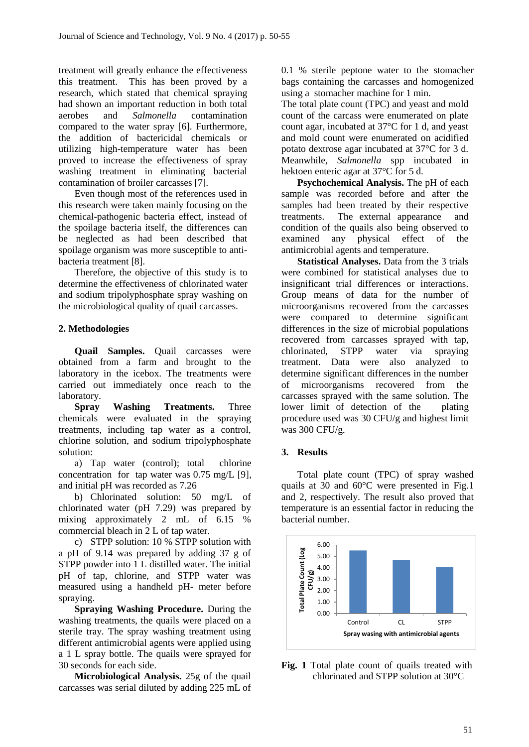treatment will greatly enhance the effectiveness this treatment. This has been proved by a research, which stated that chemical spraying had shown an important reduction in both total aerobes and *Salmonella* contamination compared to the water spray [6]. Furthermore, the addition of bactericidal chemicals or utilizing high-temperature water has been proved to increase the effectiveness of spray washing treatment in eliminating bacterial contamination of broiler carcasses [7].

Even though most of the references used in this research were taken mainly focusing on the chemical-pathogenic bacteria effect, instead of the spoilage bacteria itself, the differences can be neglected as had been described that spoilage organism was more susceptible to antibacteria treatment [8].

Therefore, the objective of this study is to determine the effectiveness of chlorinated water and sodium tripolyphosphate spray washing on the microbiological quality of quail carcasses.

## **2. Methodologies**

**Quail Samples.** Quail carcasses were obtained from a farm and brought to the laboratory in the icebox. The treatments were carried out immediately once reach to the laboratory.

**Spray Washing Treatments.** Three chemicals were evaluated in the spraying treatments, including tap water as a control, chlorine solution, and sodium tripolyphosphate solution:

a) Tap water (control); total chlorine concentration for tap water was 0.75 mg/L [9], and initial pH was recorded as 7.26

b) Chlorinated solution: 50 mg/L of chlorinated water (pH 7.29) was prepared by mixing approximately 2 mL of 6.15 % commercial bleach in 2 L of tap water.

c) STPP solution: 10 % STPP solution with a pH of 9.14 was prepared by adding 37 g of STPP powder into 1 L distilled water. The initial pH of tap, chlorine, and STPP water was measured using a handheld pH- meter before spraying.

**Spraying Washing Procedure.** During the washing treatments, the quails were placed on a sterile tray. The spray washing treatment using different antimicrobial agents were applied using a 1 L spray bottle. The quails were sprayed for 30 seconds for each side.

**Microbiological Analysis.** 25g of the quail carcasses was serial diluted by adding 225 mL of 0.1 % sterile peptone water to the stomacher bags containing the carcasses and homogenized using a stomacher machine for 1 min.

The total plate count (TPC) and yeast and mold count of the carcass were enumerated on plate count agar, incubated at 37°C for 1 d, and yeast and mold count were enumerated on acidified potato dextrose agar incubated at 37°C for 3 d. Meanwhile, *Salmonella* spp incubated in hektoen enteric agar at 37°C for 5 d.

**Psychochemical Analysis.** The pH of each sample was recorded before and after the samples had been treated by their respective treatments. The external appearance and condition of the quails also being observed to examined any physical effect of the antimicrobial agents and temperature.

**Statistical Analyses.** Data from the 3 trials were combined for statistical analyses due to insignificant trial differences or interactions. Group means of data for the number of microorganisms recovered from the carcasses were compared to determine significant differences in the size of microbial populations recovered from carcasses sprayed with tap, chlorinated, STPP water via spraying treatment. Data were also analyzed to determine significant differences in the number of microorganisms recovered from the carcasses sprayed with the same solution. The lower limit of detection of the plating procedure used was 30 CFU/g and highest limit was 300 CFU/g.

### **3. Results**

Total plate count (TPC) of spray washed quails at 30 and 60°C were presented in Fig.1 and 2, respectively. The result also proved that temperature is an essential factor in reducing the bacterial number.



**Fig. 1** Total plate count of quails treated with chlorinated and STPP solution at 30°C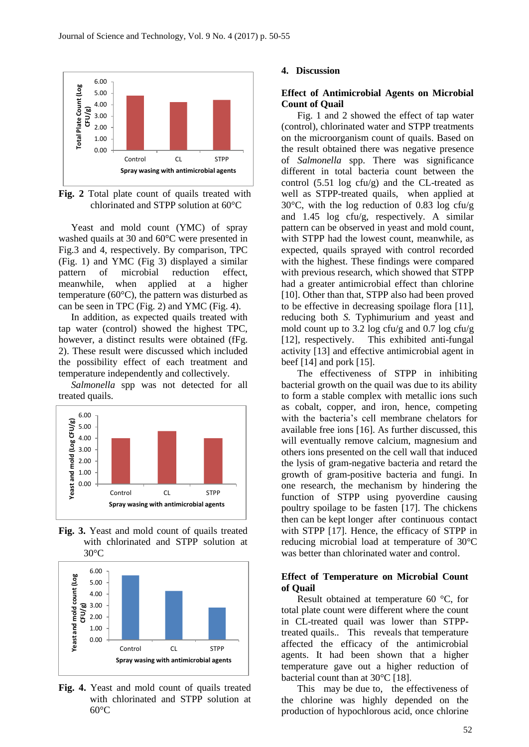

**Fig. 2** Total plate count of quails treated with chlorinated and STPP solution at 60°C

Yeast and mold count (YMC) of spray washed quails at 30 and 60°C were presented in Fig.3 and 4, respectively. By comparison, TPC (Fig. 1) and YMC (Fig 3) displayed a similar pattern of microbial reduction effect, meanwhile, when applied at a higher temperature (60°C), the pattern was disturbed as can be seen in TPC (Fig. 2) and YMC (Fig. 4).

In addition, as expected quails treated with tap water (control) showed the highest TPC, however, a distinct results were obtained (fFg. 2). These result were discussed which included the possibility effect of each treatment and temperature independently and collectively.

*Salmonella* spp was not detected for all treated quails.



**Fig. 3.** Yeast and mold count of quails treated with chlorinated and STPP solution at  $30^{\circ}$ C



**Fig. 4.** Yeast and mold count of quails treated with chlorinated and STPP solution at  $60^{\circ}$ C

#### **4. Discussion**

#### **Effect of Antimicrobial Agents on Microbial Count of Quail**

Fig. 1 and 2 showed the effect of tap water (control), chlorinated water and STPP treatments on the microorganism count of quails. Based on the result obtained there was negative presence of *Salmonella* spp. There was significance different in total bacteria count between the control  $(5.51 \log ctu/g)$  and the CL-treated as well as STPP-treated quails, when applied at 30°C, with the log reduction of 0.83 log cfu/g and 1.45 log cfu/g, respectively. A similar pattern can be observed in yeast and mold count, with STPP had the lowest count, meanwhile, as expected, quails sprayed with control recorded with the highest. These findings were compared with previous research, which showed that STPP had a greater antimicrobial effect than chlorine [10]. Other than that, STPP also had been proved to be effective in decreasing spoilage flora [11], reducing both *S.* Typhimurium and yeast and mold count up to 3.2 log cfu/g and 0.7 log cfu/g [12], respectively. This exhibited anti-fungal activity [13] and effective antimicrobial agent in beef  $[14]$  and pork  $[15]$ .

The effectiveness of STPP in inhibiting bacterial growth on the quail was due to its ability to form a stable complex with metallic ions such as cobalt, copper, and iron, hence, competing with the bacteria's cell membrane chelators for available free ions [16]. As further discussed, this will eventually remove calcium, magnesium and others ions presented on the cell wall that induced the lysis of gram-negative bacteria and retard the growth of gram-positive bacteria and fungi. In one research, the mechanism by hindering the function of STPP using pyoverdine causing poultry spoilage to be fasten [17]. The chickens then can be kept longer after continuous contact with STPP [17]. Hence, the efficacy of STPP in reducing microbial load at temperature of 30°C was better than chlorinated water and control.

#### **Effect of Temperature on Microbial Count of Quail**

Result obtained at temperature 60 °C, for total plate count were different where the count in CL-treated quail was lower than STPPtreated quails.. This reveals that temperature affected the efficacy of the antimicrobial agents. It had been shown that a higher temperature gave out a higher reduction of bacterial count than at 30°C [18].

This may be due to, the effectiveness of the chlorine was highly depended on the production of hypochlorous acid, once chlorine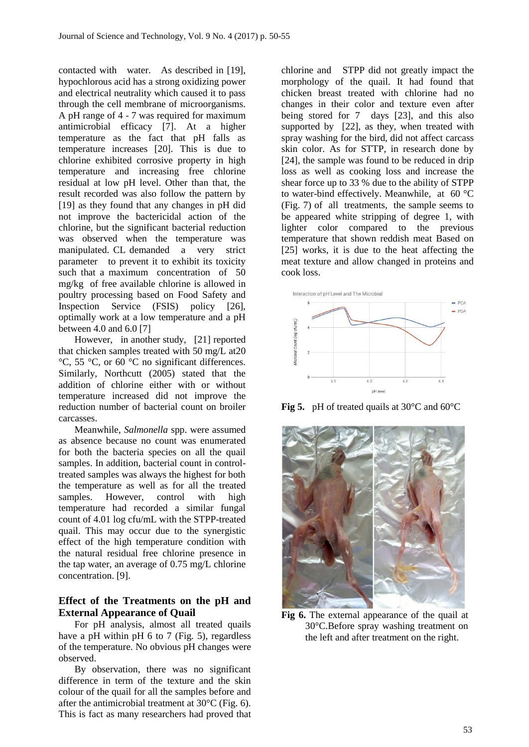contacted with water. As described in [19], hypochlorous acid has a strong oxidizing power and electrical neutrality which caused it to pass through the cell membrane of microorganisms. A pH range of 4 - 7 was required for maximum antimicrobial efficacy [7]. At a higher temperature as the fact that pH falls as temperature increases [20]. This is due to chlorine exhibited corrosive property in high temperature and increasing free chlorine residual at low pH level. Other than that, the result recorded was also follow the pattern by [19] as they found that any changes in pH did not improve the bactericidal action of the chlorine, but the significant bacterial reduction was observed when the temperature was manipulated. CL demanded a very strict parameter to prevent it to exhibit its toxicity such that a maximum concentration of 50 mg/kg of free available chlorine is allowed in poultry processing based on Food Safety and Inspection Service (FSIS) policy [26], optimally work at a low temperature and a pH between 4.0 and 6.0 [7]

However, in another study, [21] reported that chicken samples treated with 50 mg/L at20 °C, 55 °C, or 60 °C no significant differences. Similarly, Northcutt (2005) stated that the addition of chlorine either with or without temperature increased did not improve the reduction number of bacterial count on broiler carcasses.

Meanwhile, *Salmonella* spp. were assumed as absence because no count was enumerated for both the bacteria species on all the quail samples. In addition, bacterial count in controltreated samples was always the highest for both the temperature as well as for all the treated samples. However, control with high temperature had recorded a similar fungal count of 4.01 log cfu/mL with the STPP-treated quail. This may occur due to the synergistic effect of the high temperature condition with the natural residual free chlorine presence in the tap water, an average of 0.75 mg/L chlorine concentration. [9].

## **Effect of the Treatments on the pH and External Appearance of Quail**

For pH analysis, almost all treated quails have a pH within pH 6 to 7 (Fig. 5), regardless of the temperature. No obvious pH changes were observed.

By observation, there was no significant difference in term of the texture and the skin colour of the quail for all the samples before and after the antimicrobial treatment at 30°C (Fig. 6). This is fact as many researchers had proved that

chlorine and STPP did not greatly impact the morphology of the quail. It had found that chicken breast treated with chlorine had no changes in their color and texture even after being stored for 7 days [23], and this also supported by [22], as they, when treated with spray washing for the bird, did not affect carcass skin color. As for STTP, in research done by [24], the sample was found to be reduced in drip loss as well as cooking loss and increase the shear force up to 33 % due to the ability of STPP to water-bind effectively. Meanwhile, at 60 °C (Fig. 7) of all treatments, the sample seems to be appeared white stripping of degree 1, with lighter color compared to the previous temperature that shown reddish meat Based on [25] works, it is due to the heat affecting the meat texture and allow changed in proteins and cook loss.



**Fig 5.** pH of treated quails at 30°C and 60°C



**Fig 6.** The external appearance of the quail at 30°C.Before spray washing treatment on the left and after treatment on the right.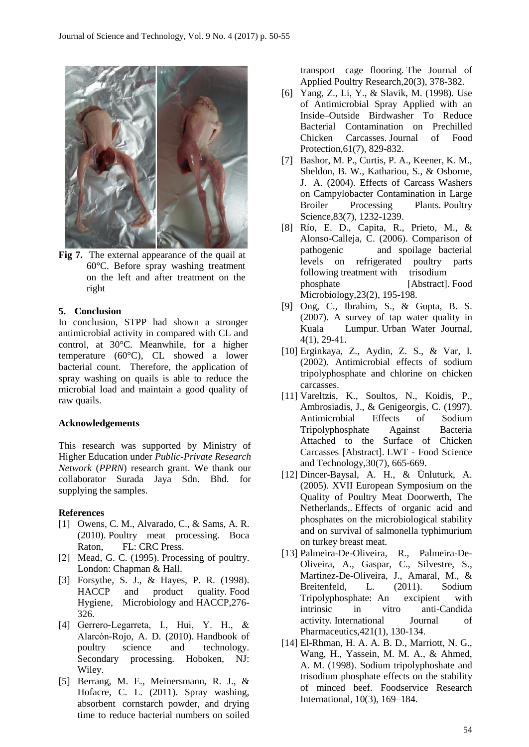

**Fig 7.** The external appearance of the quail at 60°C. Before spray washing treatment on the left and after treatment on the right

#### **5. Conclusion**

In conclusion, STPP had shown a stronger antimicrobial activity in compared with CL and control, at 30°C. Meanwhile, for a higher temperature (60°C), CL showed a lower bacterial count. Therefore, the application of spray washing on quails is able to reduce the microbial load and maintain a good quality of raw quails.

#### **Acknowledgements**

This research was supported by Ministry of Higher Education under *Public-Private Research Network* (*PPRN*) research grant. We thank our collaborator Surada Jaya Sdn. Bhd. for supplying the samples.

#### **References**

- [1] Owens, C. M., Alvarado, C., & Sams, A. R. (2010). Poultry meat processing. Boca Raton, FL: CRC Press.
- [2] Mead, G. C. (1995). Processing of poultry. London: Chapman & Hall.
- [3] Forsythe, S. J., & Hayes, P. R. (1998). HACCP and product quality. Food Hygiene, Microbiology and HACCP,276- 326.
- [4] Gerrero-Legarreta, I., Hui, Y. H., & Alarcón-Rojo, A. D. (2010). Handbook of poultry science and technology. Secondary processing. Hoboken, NJ: Wiley.
- [5] Berrang, M. E., Meinersmann, R. J., & Hofacre, C. L. (2011). Spray washing, absorbent cornstarch powder, and drying time to reduce bacterial numbers on soiled

transport cage flooring. The Journal of Applied Poultry Research,20(3), 378-382.

- [6] Yang, Z., Li, Y., & Slavik, M. (1998). Use of Antimicrobial Spray Applied with an Inside–Outside Birdwasher To Reduce Bacterial Contamination on Prechilled Chicken Carcasses. Journal of Food Protection,61(7), 829-832.
- [7] Bashor, M. P., Curtis, P. A., Keener, K. M., Sheldon, B. W., Kathariou, S., & Osborne, J. A. (2004). Effects of Carcass Washers on Campylobacter Contamination in Large Broiler Processing Plants. Poultry Science,83(7), 1232-1239.
- [8] Río, E. D., Capita, R., Prieto, M., & Alonso-Calleja, C. (2006). Comparison of pathogenic and spoilage bacterial levels on refrigerated poultry parts following treatment with trisodium phosphate [Abstract]. Food Microbiology,23(2), 195-198.
- [9] Ong, C., Ibrahim, S., & Gupta, B. S. (2007). A survey of tap water quality in Kuala Lumpur. Urban Water Journal, 4(1), 29-41.
- [10] Erginkaya, Z., Aydin, Z. S., & Var, I. (2002). Antimicrobial effects of sodium tripolyphosphate and chlorine on chicken carcasses.
- [11] Vareltzis, K., Soultos, N., Koidis, P., Ambrosiadis, J., & Genigeorgis, C. (1997). Antimicrobial Effects of Sodium Tripolyphosphate Against Bacteria Attached to the Surface of Chicken Carcasses [Abstract]. LWT - Food Science and Technology,30(7), 665-669.
- [12] Dincer-Baysal, A. H., & Ünluturk, A. (2005). XVII European Symposium on the Quality of Poultry Meat Doorwerth, The Netherlands,. Effects of organic acid and phosphates on the microbiological stability and on survival of salmonella typhimurium on turkey breast meat.
- [13] Palmeira-De-Oliveira, R., Palmeira-De-Oliveira, A., Gaspar, C., Silvestre, S., Martinez-De-Oliveira, J., Amaral, M., & Breitenfeld, L. (2011). Sodium Tripolyphosphate: An excipient with intrinsic in vitro anti-Candida activity. International Journal of Pharmaceutics,421(1), 130-134.
- [14] El-Rhman, H. A. A. B. D., Marriott, N. G., Wang, H., Yassein, M. M. A., & Ahmed, A. M. (1998). Sodium tripolyphoshate and trisodium phosphate effects on the stability of minced beef. Foodservice Research International, 10(3), 169–184.